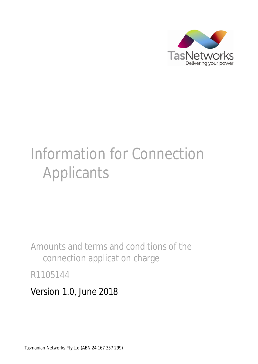

# Information for Connection Applicants

Amounts and terms and conditions of the connection application charge

R1105144

Version 1.0, June 2018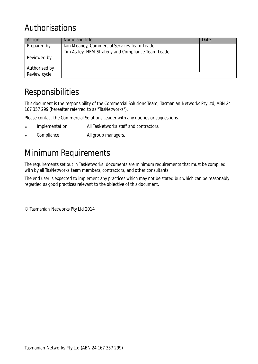## Authorisations

| Action        | Name and title                                      | Date |
|---------------|-----------------------------------------------------|------|
| Prepared by   | Tain Meaney, Commercial Services Team Leader        |      |
| Reviewed by   | Tim Astley, NEM Strategy and Compliance Team Leader |      |
| Authorised by |                                                     |      |
| Review cycle  |                                                     |      |

## Responsibilities

This document is the responsibility of the Commercial Solutions Team, Tasmanian Networks Pty Ltd, ABN 24 167 357 299 (hereafter referred to as "TasNetworks").

Please contact the Commercial Solutions Leader with any queries or suggestions.

- Implementation All TasNetworks staff and contractors.
- Compliance **All group managers.**

## Minimum Requirements

The requirements set out in TasNetworks' documents are minimum requirements that must be complied with by all TasNetworks team members, contractors, and other consultants.

The end user is expected to implement any practices which may not be stated but which can be reasonably regarded as good practices relevant to the objective of this document.

© Tasmanian Networks Pty Ltd 2014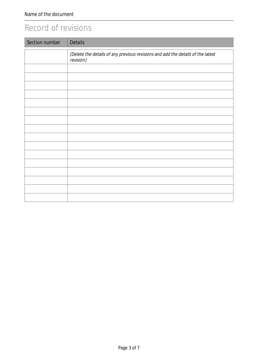## Record of revisions

| Section number | <b>Details</b>                                                                               |
|----------------|----------------------------------------------------------------------------------------------|
|                | [Delete the details of any previous revisions and add the details of the latest<br>revision] |
|                |                                                                                              |
|                |                                                                                              |
|                |                                                                                              |
|                |                                                                                              |
|                |                                                                                              |
|                |                                                                                              |
|                |                                                                                              |
|                |                                                                                              |
|                |                                                                                              |
|                |                                                                                              |
|                |                                                                                              |
|                |                                                                                              |
|                |                                                                                              |
|                |                                                                                              |
|                |                                                                                              |
|                |                                                                                              |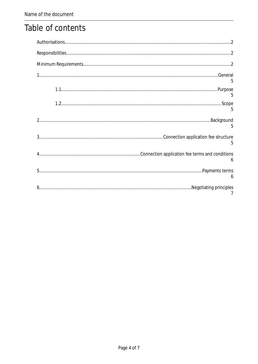## Table of contents

| 5              |  |
|----------------|--|
|                |  |
| 5              |  |
| 5              |  |
| 5              |  |
| 6              |  |
| 6              |  |
| $\overline{7}$ |  |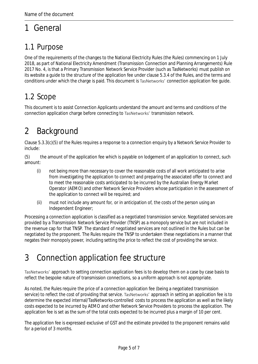# 1 General

#### 1.1 Purpose

One of the requirements of the changes to the National Electricity Rules (the Rules) commencing on 1 July 2018, as part of National Electricity Amendment (Transmission Connection and Planning Arrangements) Rule 2017 No. 4, is that a Primary Transmission Network Service Provider (such as TasNetworks) must publish on its website a guide to the structure of the application fee under clause 5.3.4 of the Rules, and the terms and conditions under which the charge is paid. This document is TasNetworks' connection application fee guide.

#### 1.2 Scope

This document is to assist Connection Applicants understand the amount and terms and conditions of the connection application charge before connecting to TasNetworks' transmission network.

# 2 Background

Clause 5.3.3(c)(5) of the Rules requires a response to a connection enquiry by a Network Service Provider to include:

(5) the amount of the application fee which is payable on lodgement of an application to connect, such amount:

- (i) not being more than necessary to cover the reasonable costs of all work anticipated to arise from investigating the application to connect and preparing the associated offer to connect and to meet the reasonable costs anticipated to be incurred by the Australian Energy Market Operator (AEMO) and other Network Service Providers whose participation in the assessment of the application to connect will be required; and
- (ii) must not include any amount for, or in anticipation of, the costs of the person using an Independent Engineer;

Processing a connection application is classified as a negotiated transmission service. Negotiated services are provided by a Transmission Network Service Provider (TNSP) as a monopoly service but are not included in the revenue cap for that TNSP. The standard of negotiated services are not outlined in the Rules but can be negotiated by the proponent. The Rules require the TNSP to undertaken these negotiations in a manner that negates their monopoly power, including setting the price to reflect the cost of providing the service.

# 3 Connection application fee structure

TasNetworks' approach to setting connection application fees is to develop them on a case by case basis to reflect the bespoke nature of transmission connections, so a uniform approach is not appropriate.

As noted, the Rules require the price of a connection application fee (being a negotiated transmission service) to reflect the cost of providing that service. TasNetworks' approach in setting an application fee is to determine the expected internal/TasNetworks-controlled costs to process the application as well as the likely costs expected to be incurred by AEMO and other Network Service Providers to process the application. The application fee is set as the sum of the total costs expected to be incurred plus a margin of 10 per cent.

The application fee is expressed exclusive of GST and the estimate provided to the proponent remains valid for a period of 3 months.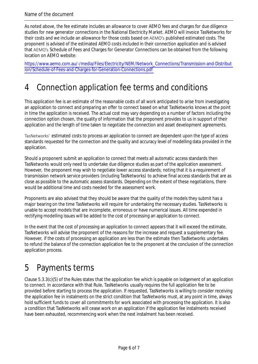As noted above, the fee estimate includes an allowance to cover AEMO fees and charges for due diligence studies for new generator connections in the National Electricity Market. AEMO will invoice TasNetworks for their costs and we include an allowance for those costs based on AEMO's published estimated costs. The proponent is advised of the estimated AEMO costs included in their connection application and is advised that AEMO's Schedule of Fees and Charges for Generator Connections can be obtained from the following location on AEMO website:

https://www.aemo.com.au/-/media/Files/Electricity/NEM/Network\_Connections/Transmission-and-Distribut ion/Schedule-of-Fees-and-Charges-for-Generation-Connections.pdf

#### 4 Connection application fee terms and conditions

This application fee is an estimate of the reasonable costs of all work anticipated to arise from investigating an application to connect and preparing an offer to connect based on what TasNetworks knows at the point in time the application is received. The actual cost may vary depending on a number of factors including the connection option chosen, the quality of information that the proponent provides to us in support of their application and the length of time taken to negotiate the connection and asset development agreements.

TasNetworks' estimated costs to process an application to connect are dependent upon the type of access standards requested for the connection and the quality and accuracy level of modelling data provided in the application.

Should a proponent submit an application to connect that meets all automatic access standards then TasNetworks would only need to undertake due diligence studies as part of the application assessment. However, the proponent may wish to negotiate lower access standards; noting that it is a requirement of transmission network service providers (including TasNetworks) to achieve final access standards that are as close as possible to the automatic assess standards. Depending on the extent of these negotiations, there would be additional time and costs needed for the assessment work.

Proponents are also advised that they should be aware that the quality of the models they submit has a major bearing on the time TasNetworks will require for undertaking the necessary studies. TasNetworks is unable to accept models that are incomplete, erroneous or have numerical issues. All time expended in rectifying modelling issues will be added to the cost of processing an application to connect.

In the event that the cost of processing an application to connect appears that it will exceed the estimate, TasNetworks will advise the proponent of the reasons for the increase and request a supplementary fee. However, if the costs of processing an application are less than the estimate then TasNetworks undertakes to refund the balance of the connection application fee to the proponent at the conclusion of the connection application process.

## 5 Payments terms

Clause 5.3.3(c)(5) of the Rules states that the application fee which is payable on lodgement of an application to connect. In accordance with that Rule, TasNetworks usually requires the full application fee to be provided before starting to process the application. If requested, TasNetworks is willing to consider receiving the application fee in instalments on the strict condition that TasNetworks must, at any point in time, always hold sufficient funds to cover all commitments for work associated with processing the application. It is also a condition that TasNetworks will cease work on an application if the application fee instalments received have been exhausted, recommencing work when the next instalment has been received.